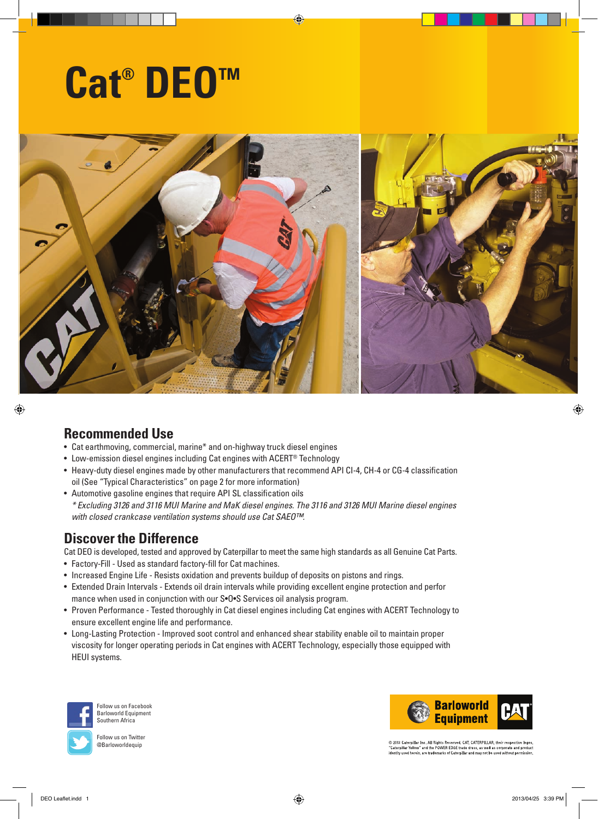# **Cat® DEOTM**



⊕

#### **Recommended Use**

- Cat earthmoving, commercial, marine\* and on-highway truck diesel engines
- Low-emission diesel engines including Cat engines with ACERT® Technology
- Heavy-duty diesel engines made by other manufacturers that recommend API CI-4, CH-4 or CG-4 classification oil (See "Typical Characteristics" on page 2 for more information)
- Automotive gasoline engines that require API SL classification oils *\* Excluding 3126 and 3116 MUI Marine and MaK diesel engines. The 3116 and 3126 MUI Marine diesel engines with closed crankcase ventilation systems should use Cat SAEO™.*

## **Discover the Difference**

Cat DEO is developed, tested and approved by Caterpillar to meet the same high standards as all Genuine Cat Parts.

- Factory-Fill Used as standard factory-fill for Cat machines.
- Increased Engine Life Resists oxidation and prevents buildup of deposits on pistons and rings.
- Extended Drain Intervals Extends oil drain intervals while providing excellent engine protection and perfor mance when used in conjunction with our S•O•S Services oil analysis program.
- Proven Performance Tested thoroughly in Cat diesel engines including Cat engines with ACERT Technology to ensure excellent engine life and performance.
- Long-Lasting Protection Improved soot control and enhanced shear stability enable oil to maintain proper viscosity for longer operating periods in Cat engines with ACERT Technology, especially those equipped with HEUI systems.





.<br>2013 Caterpillar Inc. All Rights Reserved. CAT, CATERPILLAR, their respective logos<br>aterpillar Yellow" and the POWER EDGE trade dress, as well as corporate and produc<br>entity used herein, are trademarks of Caterpillar and